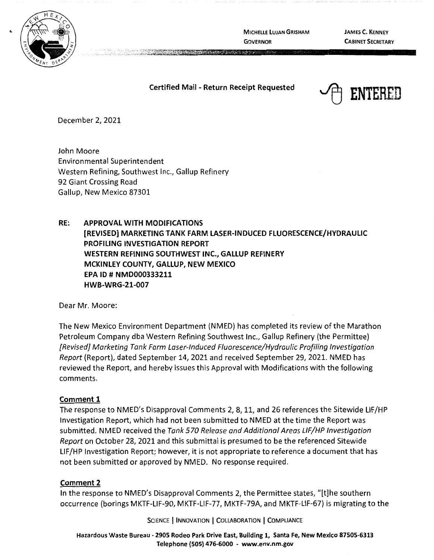

**MICHELLE LUJAN GRISHAM GOVERNOR** 

**JAMES C. KENNEY CABINET SECRETARY** 

### **Certified Mail** - **Return Receipt Requested**



December 2, 2021

John Moore Environmental Superintendent Western Refining, Southwest Inc., Gallup Refinery 92 Giant Crossing Road Gallup, New Mexico 87301

**RE: APPROVAL WITH MODIFICATIONS [REVISED] MARKETING TANK FARM LASER-INDUCED FLUORESCENCE/HYDRAULIC PROFILING INVESTIGATION REPORT WESTERN REFINING SOUTHWEST INC., GALLUP REFINERY MCKINLEY COUNTY, GALLUP, NEW MEXICO EPA ID# NMD000333211 HWB-WRG-21-007** 

Dear Mr. Moore:

The New Mexico Environment Department (NMED) has completed its review of the Marathon Petroleum Company dba Western Refining Southwest Inc., Gallup Refinery (the Permittee) [Revised] Marketing Tank Farm Laser-Induced Fluorescence/Hydraulic Profiling Investigation Report (Report), dated September 14, 2021 and received September 29, 2021. NMED has reviewed the Report, and hereby issues this Approval with Modifications with the following comments.

#### **Comment 1**

The response to NMED's Disapproval Comments 2, 8, 11, and 26 references the Sitewide LIF/HP Investigation Report, which had not been submitted to NMED at the time the Report was submitted. NMED received the Tank 570 Release and Additional Areas LIF/HP Investigation Report on October 28, 2021 and this submittal is presumed to be the referenced Sitewide LIF/HP Investigation Report; however, it is not appropriate to reference a document that has not been submitted or approved by NMED. No response required.

#### **Comment 2**

In the response to NMED's Disapproval Comments 2, the Permittee states, "[t]he southern occurrence (borings MKTF-LIF-90, MKTF-LIF-77, MKTF-79A, and MKTF-LIF-67) is migrating to the

SCIENCE | INNOVATION | COLLABORATION | COMPLIANCE

**Hazardous Waste Bureau** - **2905 Rodeo Park Drive East, Building 1, Santa Fe, New Mexico 87505-6313 Telephone (SOS) 476-6000** - **www.env.nm.gov**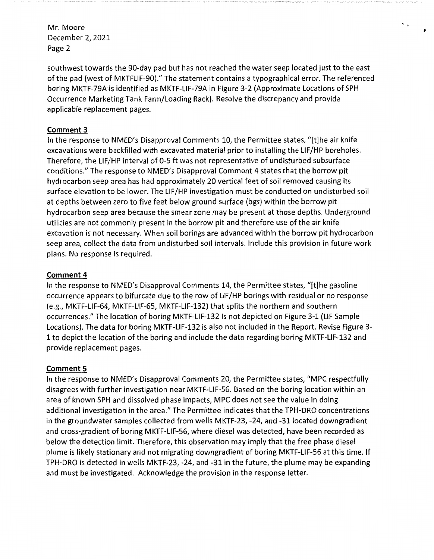Mr. Moore December 2, 2021 Page 2

southwest towards the 90-day pad but has not reached the water seep located just to the east of the pad (west of MKTFLIF-90}." The statement contains a typographical error. The referenced boring MKTF-79A is identified as MKTF-LIF-79A in Figure 3-2 (Approximate Locations of SPH Occurrence Marketing Tank Farm/Loading Rack). Resolve the discrepancy and provide applicable replacement pages.

 $\ddot{\cdot}$ 

# **Comment 3**

In the response to NMED's Disapproval Comments 10, the Permittee states, "[t]he air knife excavations were backfilled with excavated material prior to installing the LIF/HP boreholes. Therefore, the LIF/HP interval of 0-5 ft was not representative of undisturbed subsurface conditions." The response to NMED's Disapproval Comment 4 states that the borrow pit hydrocarbon seep area has had approximately 20 vertical feet of soil removed causing its surface elevation to be lower. The LIF/HP investigation must be conducted on undisturbed soil at depths between zero to five feet below ground surface (bgs} within the borrow pit hydrocarbon seep area because the smear zone may be present at those depths. Underground utilities are not commonly present in the borrow pit and therefore use of the air knife excavation is not necessary. When soil borings are advanced within the borrow pit hydrocarbon seep area, collect the data from undisturbed soil intervals. Include this provision in future work plans. No response is required.

# **Comment 4**

In the response to NMED's Disapproval Comments 14, the Permittee states, "[t]he gasoline occurrence appears to bifurcate due to the row of LIF/HP borings with residual or no response (e.g., MKTF-LIF-64, MKTF-LIF-65, MKTF-LIF-132) that splits the northern and southern occurrences." The location of boring MKTF-LIF-132 is not depicted on Figure 3-1 (LIF Sample Locations). The data for boring MKTF-LIF-132 is also not included in the Report. Revise Figure 3- 1 to depict the location of the boring and include the data regarding boring MKTF-LIF-132 and provide replacement pages.

# **Comment 5**

In the response to NMED's Disapproval Comments 20, the Permittee states, "MPC respectfully disagrees with further investigation near MKTF-LIF-56. Based on the boring location within an area of known SPH and dissolved phase impacts, MPC does not see the value in doing additional investigation in the area." The Permittee indicates that the TPH-DRO concentrations in the groundwater samples collected from wells MKTF-23, -24, and -31 located downgradient and cross-gradient of boring MKTF-LIF-56, where diesel was detected, have been recorded as below the detection limit. Therefore, this observation may imply that the free phase diesel plume is likely stationary and not migrating downgradient of boring MKTF-LIF-56 at this time. If TPH-DRO is detected in wells MKTF-23, -24, and -31 in the future, the plume may be expanding and must be investigated. Acknowledge the provision in the response letter.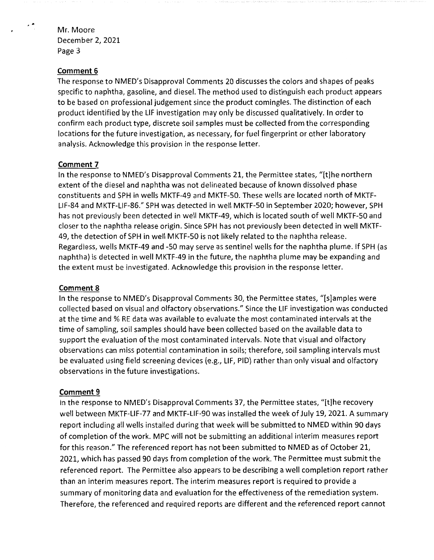Mr. Moore December 2, 2021 Page 3

#### **Comment 6**

The response to NMED's Disapproval Comments 20 discusses the colors and shapes of peaks specific to naphtha, gasoline, and diesel. The method used to distinguish each product appears to be based on professional judgement since the product comingles. The distinction of each product identified by the LIF investigation may only be discussed qualitatively. In order to confirm each product type, discrete soil samples must be collected from the corresponding locations for the future investigation, as necessary, for fuel fingerprint or other laboratory analysis. Acknowledge this provision in the response letter.

#### **Comment 7**

In the response to NMED's Disapproval Comments 21, the Permittee states, "[t]he northern extent of the diesel and naphtha was not delineated because of known dissolved phase constituents and SPH in wells MKTF-49 and MKTF-50. These wells are located north of MKTF-LIF-84 and MKTF-LIF-86." SPH was detected in well MKTF-50 in September 2020; however, SPH has not previously been detected in well MKTF-49, which is located south of well MKTF-50 and closer to the naphtha release origin. Since SPH has not previously been detected in well MKTF-49, the detection of SPH in well MKTF-50 is not likely related to the naphtha release. Regardless, wells MKTF-49 and -50 may serve as sentinel wells for the naphtha plume. If SPH (as naphtha) is detected in well MKTF-49 in the future, the naphtha plume may be expanding and the extent must be investigated. Acknowledge this provision in the response letter.

## **Comment 8**

In the response to NMED's Disapproval Comments 30, the Permittee states, "[s]amples were collected based on visual and olfactory observations." Since the LIF investigation was conducted at the time and % RE data was available to evaluate the most contaminated intervals at the time of sampling, soil samples should have been collected based on the available data to support the evaluation of the most contaminated intervals. Note that visual and olfactory observations can miss potential contamination in soils; therefore, soil sampling intervals must be evaluated using field screening devices (e.g., LIF, PIO} rather than only visual and olfactory observations in the future investigations.

#### **Comment 9**

In the response to NMED's Disapproval Comments 37, the Permittee states, "[t]he recovery well between MKTF-LIF-77 and MKTF-LIF-90 was installed the week of July 19, 2021. A summary report including all wells installed during that week will be submitted to NMED within 90 days of completion of the work. MPC will not be submitting an additional interim measures report for this reason." The referenced report has not been submitted to NMED as of October 21, 2021, which has passed 90 days from completion of the work. The Permittee must submit the referenced report. The Permittee also appears to be describing a well completion report rather than an interim measures report. The interim measures report is required to provide a summary of monitoring data and evaluation for the effectiveness of the remediation system. Therefore, the referenced and required reports are different and the referenced report cannot